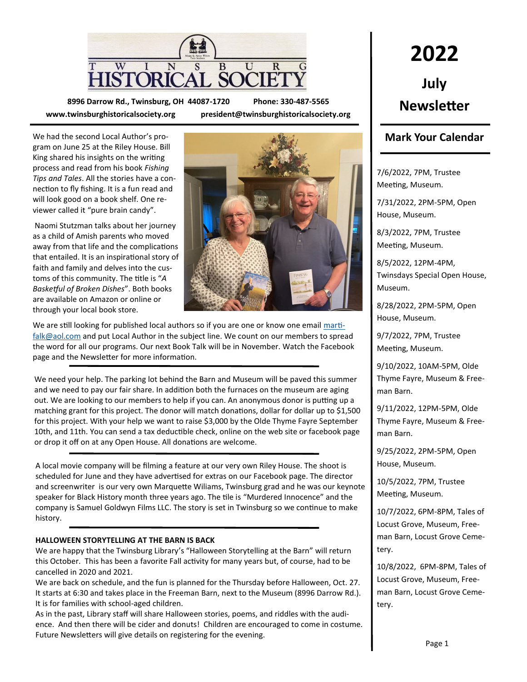

**8996 Darrow Rd., Twinsburg, OH 44087-1720 Phone: 330-487-5565 www.twinsburghistoricalsociety.org president@twinsburghistoricalsociety.org**

We had the second Local Author's program on June 25 at the Riley House. Bill King shared his insights on the writing process and read from his book *Fishing Tips and Tales*. All the stories have a connection to fly fishing. It is a fun read and will look good on a book shelf. One reviewer called it "pure brain candy".

Naomi Stutzman talks about her journey as a child of Amish parents who moved away from that life and the complications that entailed. It is an inspirational story of faith and family and delves into the customs of this community. The title is "*A Basketful of Broken Dishes*". Both books are available on Amazon or online or through your local book store.



We are still looking for published local authors so if you are one or know one email [marti](mailto:martifalk@aol.com)[falk@aol.com](mailto:martifalk@aol.com) and put Local Author in the subject line. We count on our members to spread the word for all our programs. Our next Book Talk will be in November. Watch the Facebook page and the Newsletter for more information.

We need your help. The parking lot behind the Barn and Museum will be paved this summer and we need to pay our fair share. In addition both the furnaces on the museum are aging out. We are looking to our members to help if you can. An anonymous donor is putting up a matching grant for this project. The donor will match donations, dollar for dollar up to \$1,500 for this project. With your help we want to raise \$3,000 by the Olde Thyme Fayre September 10th, and 11th. You can send a tax deductible check, online on the web site or facebook page or drop it off on at any Open House. All donations are welcome.

A local movie company will be filming a feature at our very own Riley House. The shoot is scheduled for June and they have advertised for extras on our Facebook page. The director and screenwriter is our very own Marquette Wiliams, Twinsburg grad and he was our keynote speaker for Black History month three years ago. The tile is "Murdered Innocence" and the company is Samuel Goldwyn Films LLC. The story is set in Twinsburg so we continue to make history.

### **HALLOWEEN STORYTELLING AT THE BARN IS BACK**

We are happy that the Twinsburg Library's "Halloween Storytelling at the Barn" will return this October. This has been a favorite Fall activity for many years but, of course, had to be cancelled in 2020 and 2021.

We are back on schedule, and the fun is planned for the Thursday before Halloween, Oct. 27. It starts at 6:30 and takes place in the Freeman Barn, next to the Museum (8996 Darrow Rd.). It is for families with school-aged children.

As in the past, Library staff will share Halloween stories, poems, and riddles with the audience. And then there will be cider and donuts! Children are encouraged to come in costume. Future Newsletters will give details on registering for the evening.

## **2022 July Newsletter**

### **Mark Your Calendar**

7/6/2022, 7PM, Trustee Meeting, Museum.

7/31/2022, 2PM-5PM, Open House, Museum.

8/3/2022, 7PM, Trustee Meeting, Museum.

8/5/2022, 12PM-4PM, Twinsdays Special Open House, Museum.

8/28/2022, 2PM-5PM, Open House, Museum.

9/7/2022, 7PM, Trustee Meeting, Museum.

9/10/2022, 10AM-5PM, Olde Thyme Fayre, Museum & Freeman Barn.

9/11/2022, 12PM-5PM, Olde Thyme Fayre, Museum & Freeman Barn.

9/25/2022, 2PM-5PM, Open House, Museum.

10/5/2022, 7PM, Trustee Meeting, Museum.

10/7/2022, 6PM-8PM, Tales of Locust Grove, Museum, Freeman Barn, Locust Grove Cemetery.

10/8/2022, 6PM-8PM, Tales of Locust Grove, Museum, Freeman Barn, Locust Grove Cemetery.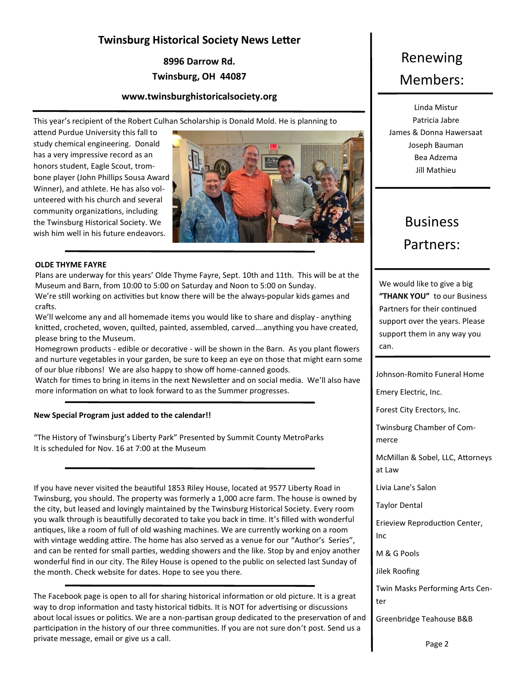### **Twinsburg Historical Society News Letter**

**8996 Darrow Rd. Twinsburg, OH 44087**

### **www.twinsburghistoricalsociety.org**

This year's recipient of the Robert Culhan Scholarship is Donald Mold. He is planning to

attend Purdue University this fall to study chemical engineering. Donald has a very impressive record as an honors student, Eagle Scout, trombone player (John Phillips Sousa Award Winner), and athlete. He has also volunteered with his church and several community organizations, including the Twinsburg Historical Society. We wish him well in his future endeavors.



#### **OLDE THYME FAYRE**

Plans are underway for this years' Olde Thyme Fayre, Sept. 10th and 11th. This will be at the Museum and Barn, from 10:00 to 5:00 on Saturday and Noon to 5:00 on Sunday. We're still working on activities but know there will be the always-popular kids games and

crafts. We'll welcome any and all homemade items you would like to share and display - anything knitted, crocheted, woven, quilted, painted, assembled, carved….anything you have created, please bring to the Museum.

Homegrown products - edible or decorative - will be shown in the Barn. As you plant flowers and nurture vegetables in your garden, be sure to keep an eye on those that might earn some of our blue ribbons! We are also happy to show off home-canned goods.

Watch for times to bring in items in the next Newsletter and on social media. We'll also have more information on what to look forward to as the Summer progresses.

#### **New Special Program just added to the calendar!!**

"The History of Twinsburg's Liberty Park" Presented by Summit County MetroParks It is scheduled for Nov. 16 at 7:00 at the Museum

If you have never visited the beautiful 1853 Riley House, located at 9577 Liberty Road in Twinsburg, you should. The property was formerly a 1,000 acre farm. The house is owned by the city, but leased and lovingly maintained by the Twinsburg Historical Society. Every room you walk through is beautifully decorated to take you back in time. It's filled with wonderful antiques, like a room of full of old washing machines. We are currently working on a room with vintage wedding attire. The home has also served as a venue for our "Author's Series", and can be rented for small parties, wedding showers and the like. Stop by and enjoy another wonderful find in our city. The Riley House is opened to the public on selected last Sunday of the month. Check website for dates. Hope to see you there.

The Facebook page is open to all for sharing historical information or old picture. It is a great way to drop information and tasty historical tidbits. It is NOT for advertising or discussions about local issues or politics. We are a non-partisan group dedicated to the preservation of and participation in the history of our three communities. If you are not sure don't post. Send us a private message, email or give us a call.

## Renewing Members:

Linda Mistur Patricia Jabre James & Donna Hawersaat Joseph Bauman Bea Adzema Jill Mathieu

## Business Partners:

We would like to give a big **"THANK YOU"** to our Business Partners for their continued support over the years. Please support them in any way you can.

Johnson-Romito Funeral Home

Emery Electric, Inc.

Forest City Erectors, Inc.

Twinsburg Chamber of Commerce

McMillan & Sobel, LLC, Attorneys at Law

Livia Lane's Salon

Taylor Dental

Erieview Reproduction Center, Inc

M & G Pools

Jilek Roofing

Twin Masks Performing Arts Center

Greenbridge Teahouse B&B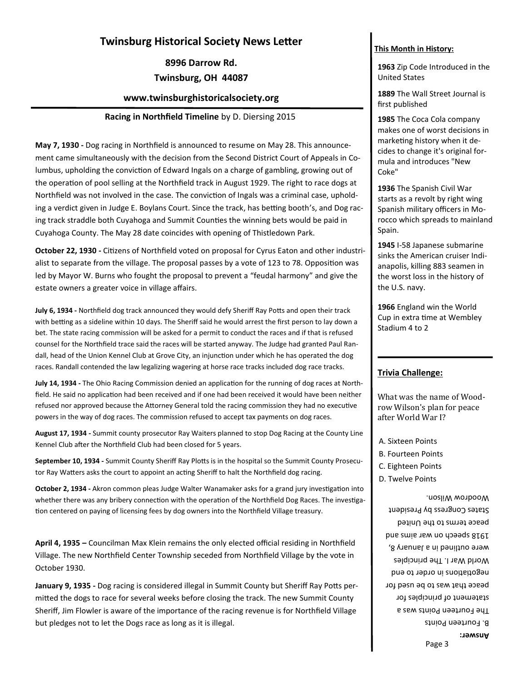### **Twinsburg Historical Society News Letter**

**8996 Darrow Rd. Twinsburg, OH 44087**

## **www.twinsburghistoricalsociety.org**

### **Racing in Northfield Timeline** by D. Diersing 2015

**May 7, 1930 -** Dog racing in Northfield is announced to resume on May 28. This announcement came simultaneously with the decision from the Second District Court of Appeals in Columbus, upholding the conviction of Edward Ingals on a charge of gambling, growing out of the operation of pool selling at the Northfield track in August 1929. The right to race dogs at Northfield was not involved in the case. The conviction of Ingals was a criminal case, upholding a verdict given in Judge E. Boylans Court. Since the track, has betting booth's, and Dog racing track straddle both Cuyahoga and Summit Counties the winning bets would be paid in Cuyahoga County. The May 28 date coincides with opening of Thistledown Park.

**October 22, 1930 -** Citizens of Northfield voted on proposal for Cyrus Eaton and other industrialist to separate from the village. The proposal passes by a vote of 123 to 78. Opposition was led by Mayor W. Burns who fought the proposal to prevent a "feudal harmony" and give the estate owners a greater voice in village affairs.

**July 6, 1934 -** Northfield dog track announced they would defy Sheriff Ray Potts and open their track with betting as a sideline within 10 days. The Sheriff said he would arrest the first person to lay down a bet. The state racing commission will be asked for a permit to conduct the races and if that is refused counsel for the Northfield trace said the races will be started anyway. The Judge had granted Paul Randall, head of the Union Kennel Club at Grove City, an injunction under which he has operated the dog races. Randall contended the law legalizing wagering at horse race tracks included dog race tracks.

**July 14, 1934 -** The Ohio Racing Commission denied an application for the running of dog races at Northfield. He said no application had been received and if one had been received it would have been neither refused nor approved because the Attorney General told the racing commission they had no executive powers in the way of dog races. The commission refused to accept tax payments on dog races.

**August 17, 1934 -** Summit county prosecutor Ray Waiters planned to stop Dog Racing at the County Line Kennel Club after the Northfield Club had been closed for 5 years.

**September 10, 1934 -** Summit County Sheriff Ray Plotts is in the hospital so the Summit County Prosecutor Ray Watters asks the court to appoint an acting Sheriff to halt the Northfield dog racing.

**October 2, 1934 -** Akron common pleas Judge Walter Wanamaker asks for a grand jury investigation into whether there was any bribery connection with the operation of the Northfield Dog Races. The investigation centered on paying of licensing fees by dog owners into the Northfield Village treasury.

**April 4, 1935 –** Councilman Max Klein remains the only elected official residing in Northfield Village. The new Northfield Center Township seceded from Northfield Village by the vote in October 1930.

**January 9, 1935 -** Dog racing is considered illegal in Summit County but Sheriff Ray Potts permitted the dogs to race for several weeks before closing the track. The new Summit County Sheriff, Jim Flowler is aware of the importance of the racing revenue is for Northfield Village but pledges not to let the Dogs race as long as it is illegal.

### **This Month in History:**

**1963** Zip Code Introduced in the United States

**1889** The Wall Street Journal is first published

**1985** The Coca Cola company makes one of worst decisions in marketing history when it decides to change it's original formula and introduces "New Coke"

**1936** The Spanish Civil War starts as a revolt by right wing Spanish military officers in Morocco which spreads to mainland Spain.

**1945** I-58 Japanese submarine sinks the American cruiser Indianapolis, killing 883 seamen in the worst loss in the history of the U.S. navy.

**1966** England win the World Cup in extra time at Wembley Stadium 4 to 2

### **Trivia Challenge:**

What was the name of Woodrow Wilson's plan for peace after World War I?

- A. Sixteen Points
- B. Fourteen Points
- C. Eighteen Points
- D. Twelve Points

Page 3 **Answer:** B. Fourteen Points The Fourteen Points was a statement of principles for peace that was to be used for negotiations in order to end World War I. The principles were outlined in a January 8, Das and war and she to ware peace terms to the United States Congress by President Woodrow Wilson.